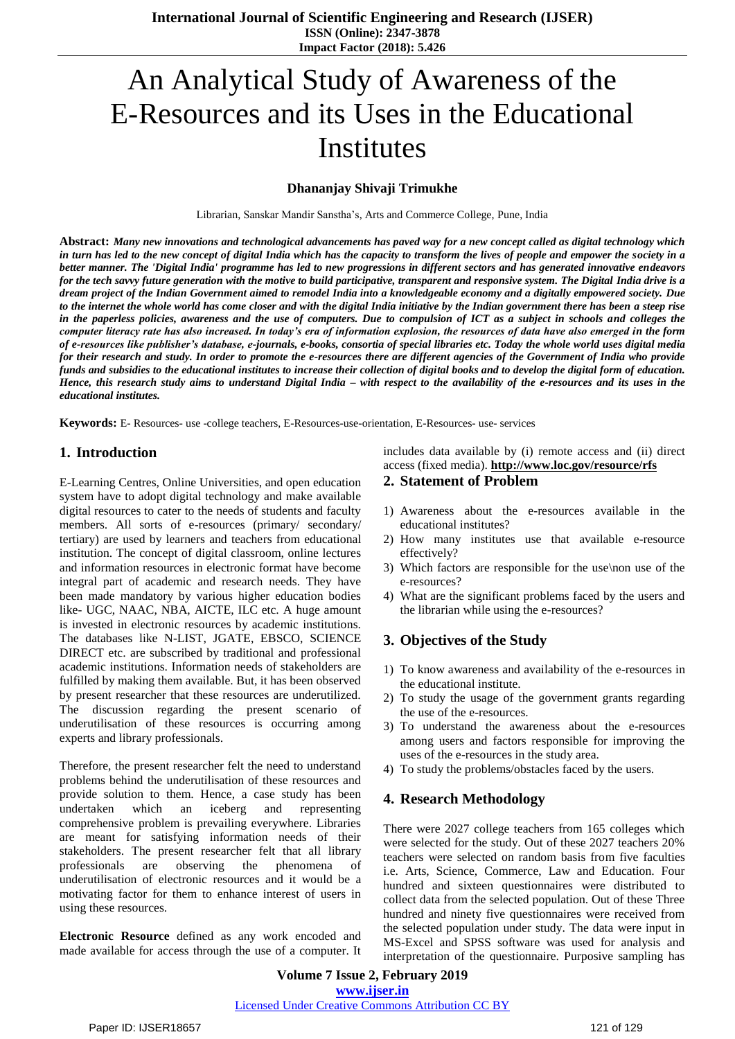# An Analytical Study of Awareness of the E-Resources and its Uses in the Educational Institutes

#### **Dhananjay Shivaji Trimukhe**

Librarian, Sanskar Mandir Sanstha"s, Arts and Commerce College, Pune, India

**Abstract:** *Many new innovations and technological advancements has paved way for a new concept called as digital technology which in turn has led to the new concept of digital India which has the capacity to transform the lives of people and empower the society in a better manner. The 'Digital India' programme has led to new progressions in different sectors and has generated innovative endeavors for the tech savvy future generation with the motive to build participative, transparent and responsive system. The Digital India drive is a dream project of the Indian Government aimed to remodel India into a knowledgeable economy and a digitally empowered society. Due to the internet the whole world has come closer and with the digital India initiative by the Indian government there has been a steep rise in the paperless policies, awareness and the use of computers. Due to compulsion of ICT as a subject in schools and colleges the computer literacy rate has also increased. In today's era of information explosion, the resources of data have also emerged in the form of e-resources like publisher's database, e-journals, e-books, consortia of special libraries etc. Today the whole world uses digital media for their research and study. In order to promote the e-resources there are different agencies of the Government of India who provide funds and subsidies to the educational institutes to increase their collection of digital books and to develop the digital form of education. Hence, this research study aims to understand Digital India – with respect to the availability of the e-resources and its uses in the educational institutes.*

**Keywords:** E- Resources- use -college teachers, E-Resources-use-orientation, E-Resources- use- services

#### **1. Introduction**

E-Learning Centres, Online Universities, and open education system have to adopt digital technology and make available digital resources to cater to the needs of students and faculty members. All sorts of e-resources (primary/ secondary/ tertiary) are used by learners and teachers from educational institution. The concept of digital classroom, online lectures and information resources in electronic format have become integral part of academic and research needs. They have been made mandatory by various higher education bodies like- UGC, NAAC, NBA, AICTE, ILC etc. A huge amount is invested in electronic resources by academic institutions. The databases like N-LIST, JGATE, EBSCO, SCIENCE DIRECT etc. are subscribed by traditional and professional academic institutions. Information needs of stakeholders are fulfilled by making them available. But, it has been observed by present researcher that these resources are underutilized. The discussion regarding the present scenario of underutilisation of these resources is occurring among experts and library professionals.

Therefore, the present researcher felt the need to understand problems behind the underutilisation of these resources and provide solution to them. Hence, a case study has been undertaken which an iceberg and representing comprehensive problem is prevailing everywhere. Libraries are meant for satisfying information needs of their stakeholders. The present researcher felt that all library professionals are observing the phenomena of underutilisation of electronic resources and it would be a motivating factor for them to enhance interest of users in using these resources.

**Electronic Resource** defined as any work encoded and made available for access through the use of a computer. It includes data available by (i) remote access and (ii) direct access (fixed media). **<http://www.loc.gov/resource/rfs>**

#### **2. Statement of Problem**

- 1) Awareness about the e-resources available in the educational institutes?
- 2) How many institutes use that available e-resource effectively?
- 3) Which factors are responsible for the use\non use of the e-resources?
- 4) What are the significant problems faced by the users and the librarian while using the e-resources?

## **3. Objectives of the Study**

- 1) To know awareness and availability of the e-resources in the educational institute.
- 2) To study the usage of the government grants regarding the use of the e-resources.
- 3) To understand the awareness about the e-resources among users and factors responsible for improving the uses of the e-resources in the study area.
- 4) To study the problems/obstacles faced by the users.

#### **4. Research Methodology**

There were 2027 college teachers from 165 colleges which were selected for the study. Out of these 2027 teachers 20% teachers were selected on random basis from five faculties i.e. Arts, Science, Commerce, Law and Education. Four hundred and sixteen questionnaires were distributed to collect data from the selected population. Out of these Three hundred and ninety five questionnaires were received from the selected population under study. The data were input in MS-Excel and SPSS software was used for analysis and interpretation of the questionnaire. Purposive sampling has

**Volume 7 Issue 2, February 2019 www.ijser.in** Licensed Under Creative Commons Attribution CC BY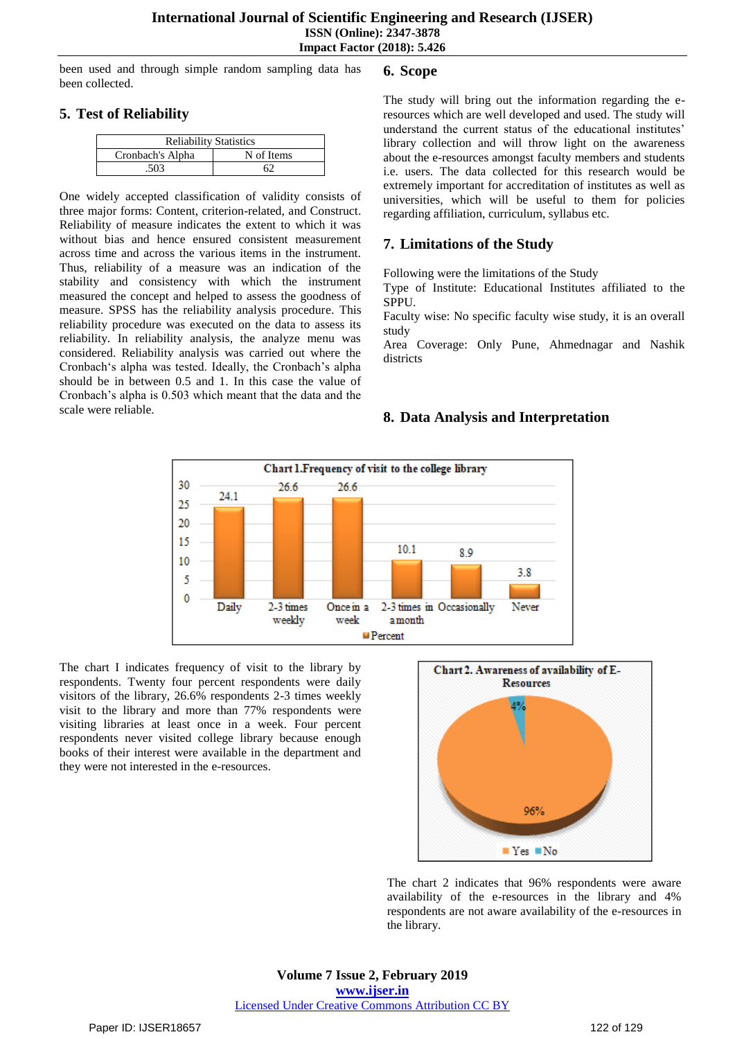been used and through simple random sampling data has been collected.

## **5. Test of Reliability**

| <b>Reliability Statistics</b> |            |  |  |  |  |
|-------------------------------|------------|--|--|--|--|
| Cronbach's Alpha              | N of Items |  |  |  |  |
| 503                           |            |  |  |  |  |

One widely accepted classification of validity consists of three major forms: Content, criterion-related, and Construct. Reliability of measure indicates the extent to which it was without bias and hence ensured consistent measurement across time and across the various items in the instrument. Thus, reliability of a measure was an indication of the stability and consistency with which the instrument measured the concept and helped to assess the goodness of measure. SPSS has the reliability analysis procedure. This reliability procedure was executed on the data to assess its reliability. In reliability analysis, the analyze menu was considered. Reliability analysis was carried out where the Cronbach"s alpha was tested. Ideally, the Cronbach"s alpha should be in between 0.5 and 1. In this case the value of Cronbach"s alpha is 0.503 which meant that the data and the scale were reliable.

## **6. Scope**

The study will bring out the information regarding the eresources which are well developed and used. The study will understand the current status of the educational institutes' library collection and will throw light on the awareness about the e-resources amongst faculty members and students i.e. users. The data collected for this research would be extremely important for accreditation of institutes as well as universities, which will be useful to them for policies regarding affiliation, curriculum, syllabus etc.

## **7. Limitations of the Study**

Following were the limitations of the Study

Type of Institute: Educational Institutes affiliated to the SPPU.

Faculty wise: No specific faculty wise study, it is an overall study

Area Coverage: Only Pune, Ahmednagar and Nashik districts

## **8. Data Analysis and Interpretation**



The chart I indicates frequency of visit to the library by respondents. Twenty four percent respondents were daily visitors of the library, 26.6% respondents 2-3 times weekly visit to the library and more than 77% respondents were visiting libraries at least once in a week. Four percent respondents never visited college library because enough books of their interest were available in the department and they were not interested in the e-resources.



The chart 2 indicates that 96% respondents were aware availability of the e-resources in the library and 4% respondents are not aware availability of the e-resources in the library.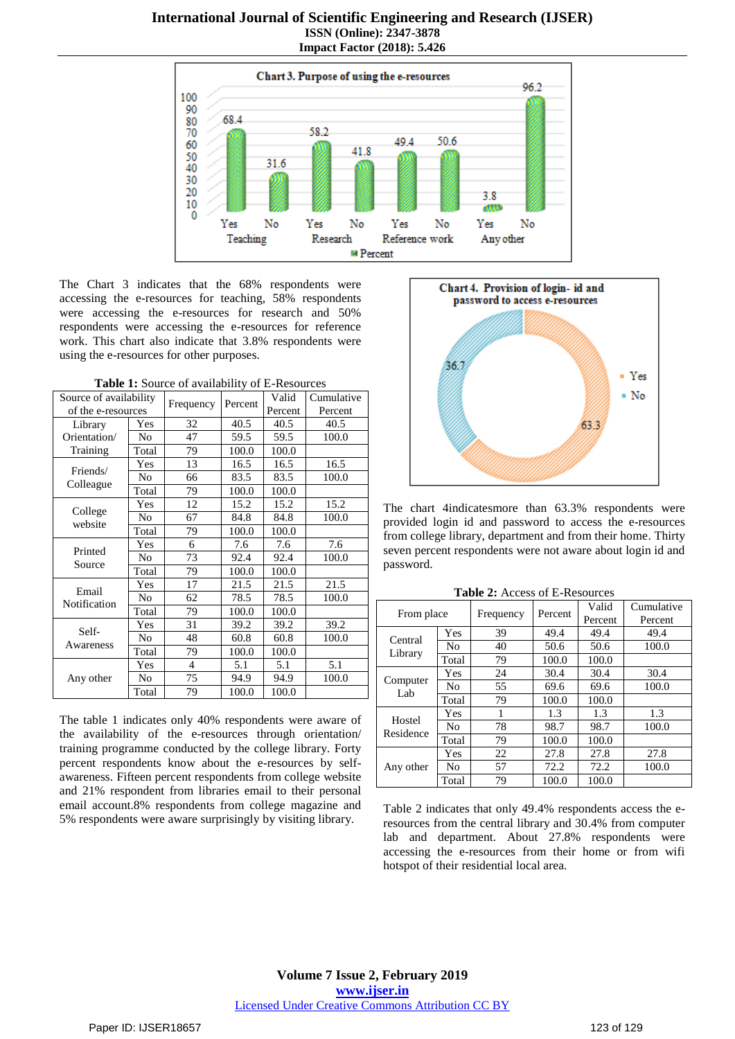

The Chart 3 indicates that the 68% respondents were accessing the e-resources for teaching, 58% respondents were accessing the e-resources for research and 50% respondents were accessing the e-resources for reference work. This chart also indicate that 3.8% respondents were using the e-resources for other purposes.

**Table 1:** Source of availability of E-Resources

| Source of availability |                |                | Percent | Valid   | Cumulative |
|------------------------|----------------|----------------|---------|---------|------------|
| of the e-resources     |                | Frequency      |         | Percent | Percent    |
| Library                | Yes            | 32             | 40.5    | 40.5    | 40.5       |
| Orientation/           | No             | 47             | 59.5    | 59.5    | 100.0      |
| Training               | Total          | 79             | 100.0   | 100.0   |            |
| Friends/               | Yes            | 13             | 16.5    | 16.5    | 16.5       |
| Colleague              | No             | 66             | 83.5    | 83.5    | 100.0      |
|                        | Total          | 79             | 100.0   | 100.0   |            |
|                        | Yes            | 12             | 15.2    | 15.2    | 15.2       |
| College<br>website     | No             | 67             | 84.8    | 84.8    | 100.0      |
|                        | Total          | 79             | 100.0   | 100.0   |            |
| Printed                | Yes            | 6              | 7.6     | 7.6     | 7.6        |
|                        | N <sub>0</sub> | 73             | 92.4    | 92.4    | 100.0      |
| Source                 | Total          | 79             | 100.0   | 100.0   |            |
|                        | Yes            | 17             | 21.5    | 21.5    | 21.5       |
| Email<br>Notification  | N <sub>0</sub> | 62             | 78.5    | 78.5    | 100.0      |
|                        | Total          | 79             | 100.0   | 100.0   |            |
| Self-<br>Awareness     | Yes            | 31             | 39.2    | 39.2    | 39.2       |
|                        | No             | 48             | 60.8    | 60.8    | 100.0      |
|                        | Total          | 79             | 100.0   | 100.0   |            |
|                        | Yes            | $\overline{4}$ | 5.1     | 5.1     | 5.1        |
| Any other              | No             | 75             | 94.9    | 94.9    | 100.0      |
|                        | Total          | 79             | 100.0   | 100.0   |            |

The table 1 indicates only 40% respondents were aware of the availability of the e-resources through orientation/ training programme conducted by the college library. Forty percent respondents know about the e-resources by selfawareness. Fifteen percent respondents from college website and 21% respondent from libraries email to their personal email account.8% respondents from college magazine and 5% respondents were aware surprisingly by visiting library.



The chart 4indicatesmore than 63.3% respondents were provided login id and password to access the e-resources from college library, department and from their home. Thirty seven percent respondents were not aware about login id and password.

|  | <b>Table 2:</b> Access of E-Resources |  |
|--|---------------------------------------|--|
|--|---------------------------------------|--|

| From place          |                |           | Percent | Valid   | Cumulative |
|---------------------|----------------|-----------|---------|---------|------------|
|                     |                | Frequency |         | Percent | Percent    |
|                     | Yes            | 39        | 49.4    | 49.4    | 49.4       |
| Central             | N <sub>0</sub> | 40        | 50.6    | 50.6    | 100.0      |
| Library             | Total          | 79        | 100.0   | 100.0   |            |
| Computer<br>Lab     | Yes            | 24        | 30.4    | 30.4    | 30.4       |
|                     | No             | 55        | 69.6    | 69.6    | 100.0      |
|                     | Total          | 79        | 100.0   | 100.0   |            |
| Hostel<br>Residence | Yes            |           | 1.3     | 1.3     | 1.3        |
|                     | N <sub>0</sub> | 78        | 98.7    | 98.7    | 100.0      |
|                     | Total          | 79        | 100.0   | 100.0   |            |
|                     | Yes            | 22        | 27.8    | 27.8    | 27.8       |
| Any other           | No             | 57        | 72.2    | 72.2    | 100.0      |
|                     | Total          | 79        | 100.0   | 100.0   |            |

Table 2 indicates that only 49.4% respondents access the eresources from the central library and 30.4% from computer lab and department. About 27.8% respondents were accessing the e-resources from their home or from wifi hotspot of their residential local area.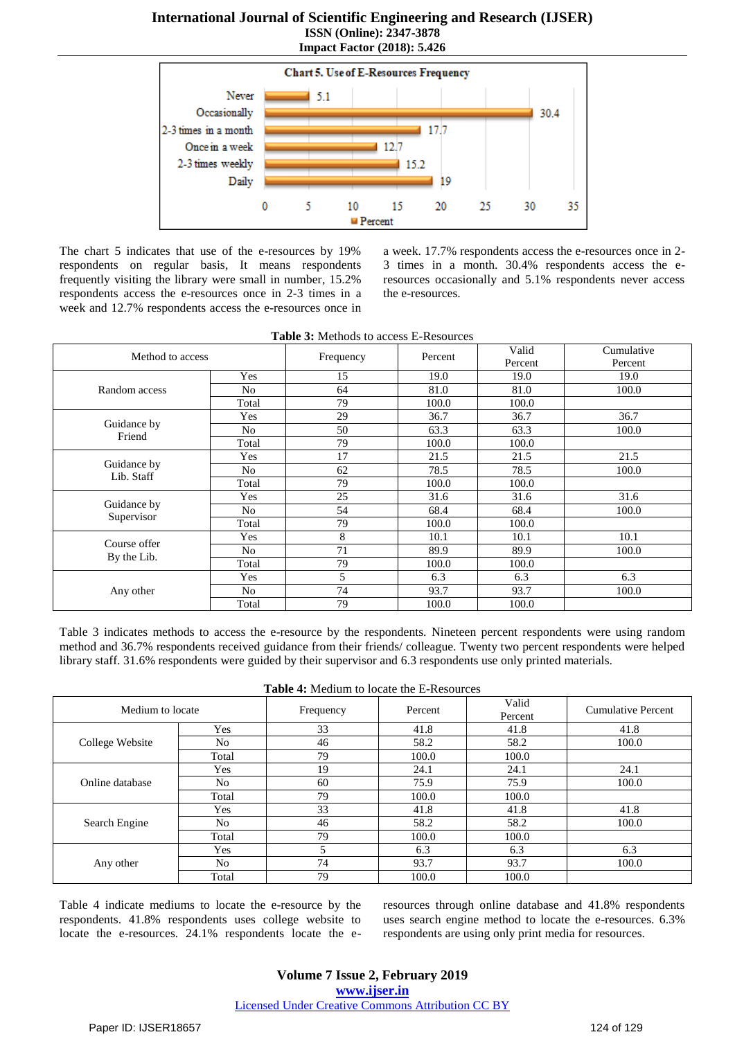

The chart 5 indicates that use of the e-resources by 19% respondents on regular basis, It means respondents frequently visiting the library were small in number, 15.2% respondents access the e-resources once in 2-3 times in a week and 12.7% respondents access the e-resources once in a week. 17.7% respondents access the e-resources once in 2- 3 times in a month. 30.4% respondents access the eresources occasionally and 5.1% respondents never access the e-resources.

| Method to access            |                |           |         | Valid   | Cumulative |
|-----------------------------|----------------|-----------|---------|---------|------------|
|                             |                | Frequency | Percent | Percent | Percent    |
|                             | Yes            | 15        | 19.0    | 19.0    | 19.0       |
| Random access               | No             | 64        | 81.0    | 81.0    | 100.0      |
|                             | Total          | 79        | 100.0   | 100.0   |            |
|                             | Yes            | 29        | 36.7    | 36.7    | 36.7       |
| Guidance by<br>Friend       | N <sub>0</sub> | 50        | 63.3    | 63.3    | 100.0      |
|                             | Total          | 79        | 100.0   | 100.0   |            |
|                             | Yes            | 17        | 21.5    | 21.5    | 21.5       |
| Guidance by<br>Lib. Staff   | N <sub>0</sub> | 62        | 78.5    | 78.5    | 100.0      |
|                             | Total          | 79        | 100.0   | 100.0   |            |
|                             | Yes            | 25        | 31.6    | 31.6    | 31.6       |
| Guidance by                 | N <sub>0</sub> | 54        | 68.4    | 68.4    | 100.0      |
| Supervisor                  | Total          | 79        | 100.0   | 100.0   |            |
|                             | Yes            | 8         | 10.1    | 10.1    | 10.1       |
| Course offer<br>By the Lib. | N <sub>0</sub> | 71        | 89.9    | 89.9    | 100.0      |
|                             | Total          | 79        | 100.0   | 100.0   |            |
|                             | Yes            | 5         | 6.3     | 6.3     | 6.3        |
| Any other                   | N <sub>0</sub> | 74        | 93.7    | 93.7    | 100.0      |
|                             | Total          | 79        | 100.0   | 100.0   |            |

Table 3 indicates methods to access the e-resource by the respondents. Nineteen percent respondents were using random method and 36.7% respondents received guidance from their friends/ colleague. Twenty two percent respondents were helped library staff. 31.6% respondents were guided by their supervisor and 6.3 respondents use only printed materials.

| <b>Table 4:</b> Medium to locate the E-Resources |  |  |
|--------------------------------------------------|--|--|
|--------------------------------------------------|--|--|

| Medium to locate |       | Frequency | Percent | Valid<br>Percent | Cumulative Percent |
|------------------|-------|-----------|---------|------------------|--------------------|
|                  | Yes   | 33        | 41.8    | 41.8             | 41.8               |
| College Website  | No    | 46        | 58.2    | 58.2             | 100.0              |
|                  | Total | 79        | 100.0   | 100.0            |                    |
|                  | Yes   | 19        | 24.1    | 24.1             | 24.1               |
| Online database  | No    | 60        | 75.9    | 75.9             | 100.0              |
|                  | Total | 79        | 100.0   | 100.0            |                    |
| Search Engine    | Yes   | 33        | 41.8    | 41.8             | 41.8               |
|                  | No    | 46        | 58.2    | 58.2             | 100.0              |
|                  | Total | 79        | 100.0   | 100.0            |                    |
|                  | Yes   | 5         | 6.3     | 6.3              | 6.3                |
| Any other        | No    | 74        | 93.7    | 93.7             | 100.0              |
|                  | Total | 79        | 100.0   | 100.0            |                    |

Table 4 indicate mediums to locate the e-resource by the respondents. 41.8% respondents uses college website to locate the e-resources. 24.1% respondents locate the eresources through online database and 41.8% respondents uses search engine method to locate the e-resources. 6.3% respondents are using only print media for resources.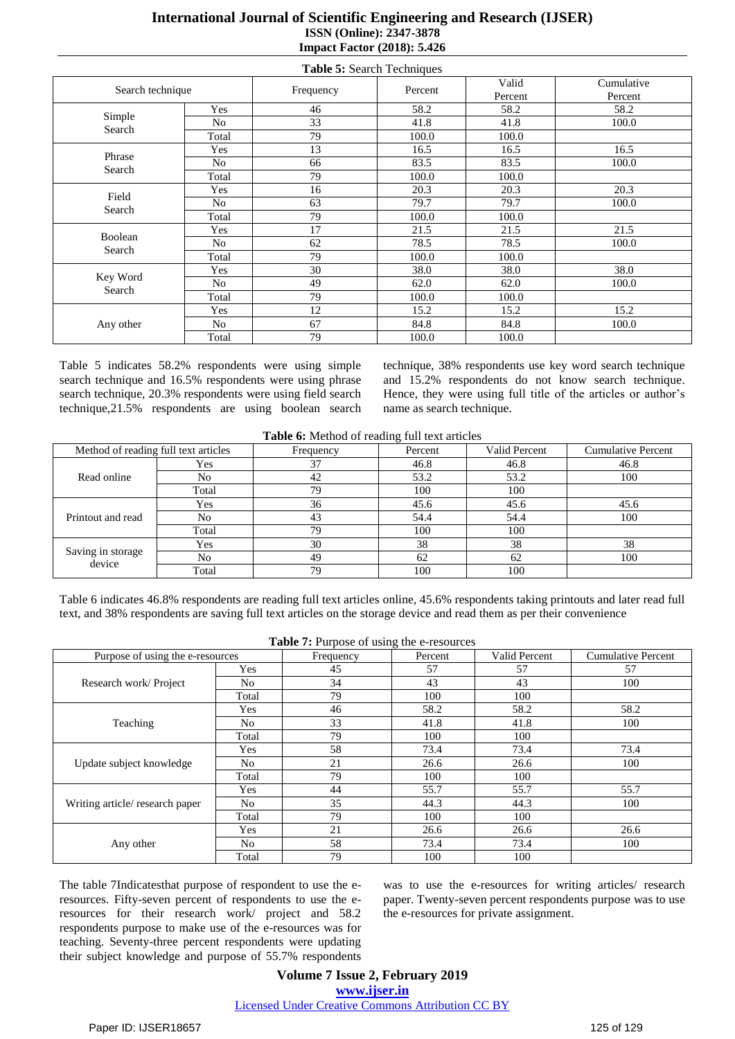| Table 5: Search Techniques |                |           |         |                  |                       |  |
|----------------------------|----------------|-----------|---------|------------------|-----------------------|--|
| Search technique           |                | Frequency | Percent | Valid<br>Percent | Cumulative<br>Percent |  |
|                            | Yes            | 46        | 58.2    | 58.2             | 58.2                  |  |
| Simple<br>Search           | N <sub>o</sub> | 33        | 41.8    | 41.8             | 100.0                 |  |
|                            | Total          | 79        | 100.0   | 100.0            |                       |  |
| Phrase                     | Yes            | 13        | 16.5    | 16.5             | 16.5                  |  |
|                            | N <sub>0</sub> | 66        | 83.5    | 83.5             | 100.0                 |  |
| Search                     | Total          | 79        | 100.0   | 100.0            |                       |  |
| Field<br>Search            | Yes            | 16        | 20.3    | 20.3             | 20.3                  |  |
|                            | No             | 63        | 79.7    | 79.7             | 100.0                 |  |
|                            | Total          | 79        | 100.0   | 100.0            |                       |  |
| Boolean<br>Search          | Yes            | 17        | 21.5    | 21.5             | 21.5                  |  |
|                            | N <sub>0</sub> | 62        | 78.5    | 78.5             | 100.0                 |  |
|                            | Total          | 79        | 100.0   | 100.0            |                       |  |
| Key Word<br>Search         | Yes            | 30        | 38.0    | 38.0             | 38.0                  |  |
|                            | N <sub>o</sub> | 49        | 62.0    | 62.0             | 100.0                 |  |
|                            | Total          | 79        | 100.0   | 100.0            |                       |  |
|                            | Yes            | 12        | 15.2    | 15.2             | 15.2                  |  |
| Any other                  | No             | 67        | 84.8    | 84.8             | 100.0                 |  |
|                            | Total          | 79        | 100.0   | 100.0            |                       |  |

Table 5 indicates 58.2% respondents were using simple search technique and 16.5% respondents were using phrase search technique, 20.3% respondents were using field search technique,21.5% respondents are using boolean search technique, 38% respondents use key word search technique and 15.2% respondents do not know search technique. Hence, they were using full title of the articles or author's name as search technique.

|  |  |  | Table 6: Method of reading full text articles |  |  |  |  |  |
|--|--|--|-----------------------------------------------|--|--|--|--|--|
|--|--|--|-----------------------------------------------|--|--|--|--|--|

| Method of reading full text articles |       | Frequency | ັ<br>Percent | Valid Percent | <b>Cumulative Percent</b> |
|--------------------------------------|-------|-----------|--------------|---------------|---------------------------|
|                                      | Yes   | 37        | 46.8         | 46.8          | 46.8                      |
| Read online                          | No    | 42        | 53.2         | 53.2          | 100                       |
|                                      | Total | 79        | 100          | 100           |                           |
|                                      | Yes   | 36        | 45.6         | 45.6          | 45.6                      |
| Printout and read                    | No    | 43        | 54.4         | 54.4          | 100                       |
|                                      | Total | 79        | 100          | 100           |                           |
|                                      | Yes   | 30        | 38           | 38            | 38                        |
| Saving in storage<br>device          | No    | 49        | 62           | 62            | 100                       |
|                                      | Total | 79        | 100          | 100           |                           |

Table 6 indicates 46.8% respondents are reading full text articles online, 45.6% respondents taking printouts and later read full text, and 38% respondents are saving full text articles on the storage device and read them as per their convenience

|                                  |                | <b>Table 7:</b> Purpose of using the e-resources |         |               |                           |
|----------------------------------|----------------|--------------------------------------------------|---------|---------------|---------------------------|
| Purpose of using the e-resources |                | Frequency                                        | Percent | Valid Percent | <b>Cumulative Percent</b> |
|                                  | Yes            | 45                                               | 57      | 57            | 57                        |
| Research work/Project            | N <sub>0</sub> | 34                                               | 43      | 43            | 100                       |
|                                  | Total          | 79                                               | 100     | 100           |                           |
|                                  | Yes            | 46                                               | 58.2    | 58.2          | 58.2                      |
| Teaching                         | N <sub>0</sub> | 33                                               | 41.8    | 41.8          | 100                       |
|                                  | Total          | 79                                               | 100     | 100           |                           |
| Update subject knowledge         | Yes            | 58                                               | 73.4    | 73.4          | 73.4                      |
|                                  | No.            | 21                                               | 26.6    | 26.6          | 100                       |
|                                  | Total          | 79                                               | 100     | 100           |                           |
|                                  | Yes            | 44                                               | 55.7    | 55.7          | 55.7                      |
| Writing article/ research paper  | N <sub>0</sub> | 35                                               | 44.3    | 44.3          | 100                       |
|                                  | Total          | 79                                               | 100     | 100           |                           |
|                                  | Yes            | 21                                               | 26.6    | 26.6          | 26.6                      |
| Any other                        | N <sub>0</sub> | 58                                               | 73.4    | 73.4          | 100                       |
|                                  | Total          | 79                                               | 100     | 100           |                           |

The table 7Indicatesthat purpose of respondent to use the eresources. Fifty-seven percent of respondents to use the eresources for their research work/ project and 58.2 respondents purpose to make use of the e-resources was for teaching. Seventy-three percent respondents were updating their subject knowledge and purpose of 55.7% respondents was to use the e-resources for writing articles/ research paper. Twenty-seven percent respondents purpose was to use the e-resources for private assignment.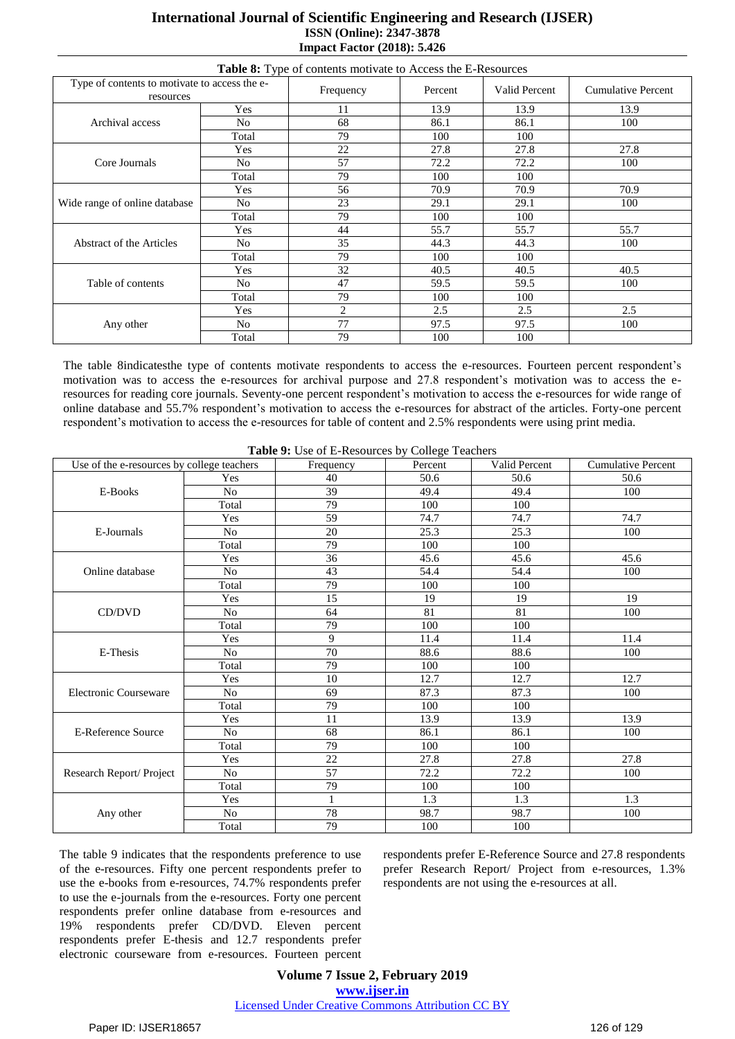| Table 8: Type of contents motivate to Access the E-Resources |                |                |         |                      |                           |  |  |  |
|--------------------------------------------------------------|----------------|----------------|---------|----------------------|---------------------------|--|--|--|
| Type of contents to motivate to access the e-<br>resources   |                | Frequency      | Percent | <b>Valid Percent</b> | <b>Cumulative Percent</b> |  |  |  |
| Archival access                                              | Yes            | 11             | 13.9    | 13.9                 | 13.9                      |  |  |  |
|                                                              | No             | 68             | 86.1    | 86.1                 | 100                       |  |  |  |
|                                                              | Total          | 79             | 100     | 100                  |                           |  |  |  |
|                                                              | Yes            | 22             | 27.8    | 27.8                 | 27.8                      |  |  |  |
| Core Journals                                                | No             | 57             | 72.2    | 72.2                 | 100                       |  |  |  |
|                                                              | Total          | 79             | 100     | 100                  |                           |  |  |  |
| Wide range of online database                                | <b>Yes</b>     | 56             | 70.9    | 70.9                 | 70.9                      |  |  |  |
|                                                              | N <sub>o</sub> | 23             | 29.1    | 29.1                 | 100                       |  |  |  |
|                                                              | Total          | 79             | 100     | 100                  |                           |  |  |  |
| Abstract of the Articles                                     | Yes            | 44             | 55.7    | 55.7                 | 55.7                      |  |  |  |
|                                                              | No             | 35             | 44.3    | 44.3                 | 100                       |  |  |  |
|                                                              | Total          | 79             | 100     | 100                  |                           |  |  |  |
| Table of contents                                            | Yes            | 32             | 40.5    | 40.5                 | 40.5                      |  |  |  |
|                                                              | No             | 47             | 59.5    | 59.5                 | 100                       |  |  |  |
|                                                              | Total          | 79             | 100     | 100                  |                           |  |  |  |
| Any other                                                    | Yes            | $\overline{c}$ | 2.5     | 2.5                  | 2.5                       |  |  |  |
|                                                              | No             | 77             | 97.5    | 97.5                 | 100                       |  |  |  |
|                                                              | Total          | 79             | 100     | 100                  |                           |  |  |  |

The table 8indicatesthe type of contents motivate respondents to access the e-resources. Fourteen percent respondent"s motivation was to access the e-resources for archival purpose and 27.8 respondent's motivation was to access the eresources for reading core journals. Seventy-one percent respondent"s motivation to access the e-resources for wide range of online database and 55.7% respondent"s motivation to access the e-resources for abstract of the articles. Forty-one percent respondent's motivation to access the e-resources for table of content and 2.5% respondents were using print media.

| Use of the e-resources by college teachers |                | $\frac{1}{2}$<br>Frequency | Percent          | Valid Percent | <b>Cumulative Percent</b> |
|--------------------------------------------|----------------|----------------------------|------------------|---------------|---------------------------|
|                                            | Yes            | 40                         | 50.6             | 50.6          | 50.6                      |
| E-Books                                    | No             | 39                         | 49.4             | 49.4          | 100                       |
|                                            | Total          | 79                         | 100              | 100           |                           |
|                                            | Yes            | 59                         | 74.7             | 74.7          | 74.7                      |
| E-Journals                                 | No             | 20                         | 25.3             | 25.3          | 100                       |
|                                            | Total          | 79                         | 100              | 100           |                           |
|                                            | Yes            | 36                         | 45.6             | 45.6          | 45.6                      |
| Online database                            | No             | 43                         | 54.4             | 54.4          | 100                       |
|                                            | Total          | 79                         | 100              | 100           |                           |
|                                            | Yes            | 15                         | 19               | 19            | 19                        |
| CD/DVD                                     | No             | 64                         | 81               | 81            | 100                       |
|                                            | Total          | 79                         | $\overline{100}$ | 100           |                           |
|                                            | Yes            | 9                          | 11.4             | 11.4          | 11.4                      |
| E-Thesis                                   | No             | 70                         | 88.6             | 88.6          | 100                       |
|                                            | Total          | 79                         | 100              | 100           |                           |
|                                            | Yes            | 10                         | 12.7             | 12.7          | 12.7                      |
| Electronic Courseware                      | N <sub>o</sub> | 69                         | 87.3             | 87.3          | 100                       |
|                                            | Total          | 79                         | 100              | 100           |                           |
| <b>E-Reference Source</b>                  | Yes            | 11                         | 13.9             | 13.9          | 13.9                      |
|                                            | No             | 68                         | 86.1             | 86.1          | 100                       |
|                                            | Total          | 79                         | 100              | 100           |                           |
| Research Report/ Project                   | Yes            | 22                         | 27.8             | 27.8          | 27.8                      |
|                                            | No             | 57                         | 72.2             | 72.2          | 100                       |
|                                            | Total          | 79                         | 100              | 100           |                           |
| Any other                                  | Yes            | $\mathbf{1}$               | 1.3              | 1.3           | 1.3                       |
|                                            | No             | 78                         | 98.7             | 98.7          | 100                       |
|                                            | Total          | 79                         | 100              | 100           |                           |

**Table 9:** Use of E-Resources by College Teachers

The table 9 indicates that the respondents preference to use of the e-resources. Fifty one percent respondents prefer to use the e-books from e-resources, 74.7% respondents prefer to use the e-journals from the e-resources. Forty one percent respondents prefer online database from e-resources and 19% respondents prefer CD/DVD. Eleven percent respondents prefer E-thesis and 12.7 respondents prefer electronic courseware from e-resources. Fourteen percent respondents prefer E-Reference Source and 27.8 respondents prefer Research Report/ Project from e-resources, 1.3% respondents are not using the e-resources at all.

**Volume 7 Issue 2, February 2019 www.ijser.in** Licensed Under Creative Commons Attribution CC BY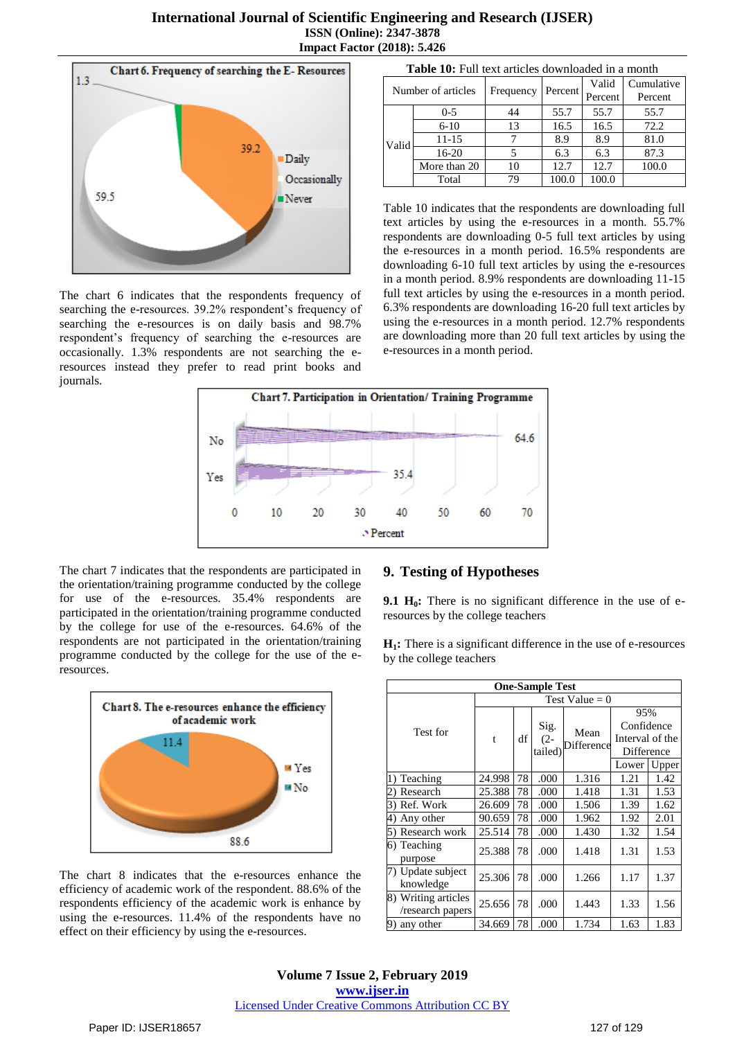

The chart 6 indicates that the respondents frequency of searching the e-resources. 39.2% respondent's frequency of searching the e-resources is on daily basis and 98.7% respondent"s frequency of searching the e-resources are occasionally. 1.3% respondents are not searching the eresources instead they prefer to read print books and journals.

| Number of articles |              | Frequency | Percent | Valid<br>Percent | Cumulative<br>Percent |  |  |  |
|--------------------|--------------|-----------|---------|------------------|-----------------------|--|--|--|
|                    |              |           |         |                  |                       |  |  |  |
| Valid              | $0 - 5$      | 44        | 55.7    | 55.7             | 55.7                  |  |  |  |
|                    | $6-10$       | 13        | 16.5    | 16.5             | 72.2                  |  |  |  |
|                    | 11-15        |           | 8.9     | 8.9              | 81.0                  |  |  |  |
|                    | 16-20        |           | 6.3     | 6.3              | 87.3                  |  |  |  |
|                    | More than 20 | 10        | 12.7    | 12.7             | 100.0                 |  |  |  |
|                    | Total        | 79        | 100.0   | 100.0            |                       |  |  |  |

**Table 10:** Full text articles downloaded in a month

Table 10 indicates that the respondents are downloading full text articles by using the e-resources in a month. 55.7% respondents are downloading 0-5 full text articles by using the e-resources in a month period. 16.5% respondents are downloading 6-10 full text articles by using the e-resources in a month period. 8.9% respondents are downloading 11-15 full text articles by using the e-resources in a month period. 6.3% respondents are downloading 16-20 full text articles by using the e-resources in a month period. 12.7% respondents are downloading more than 20 full text articles by using the e-resources in a month period.



The chart 7 indicates that the respondents are participated in the orientation/training programme conducted by the college for use of the e-resources. 35.4% respondents are participated in the orientation/training programme conducted by the college for use of the e-resources. 64.6% of the respondents are not participated in the orientation/training programme conducted by the college for the use of the eresources.



The chart 8 indicates that the e-resources enhance the efficiency of academic work of the respondent. 88.6% of the respondents efficiency of the academic work is enhance by using the e-resources. 11.4% of the respondents have no effect on their efficiency by using the e-resources.

#### **9. Testing of Hypotheses**

**9.1 H0:** There is no significant difference in the use of eresources by the college teachers

**H1:** There is a significant difference in the use of e-resources by the college teachers

| <b>One-Sample Test</b>                  |                  |    |                           |                           |                 |       |  |  |  |
|-----------------------------------------|------------------|----|---------------------------|---------------------------|-----------------|-------|--|--|--|
|                                         | Test Value = $0$ |    |                           |                           |                 |       |  |  |  |
|                                         | t                | df | Sig.<br>$(2 -$<br>tailed) | Mean<br><b>Difference</b> | 95%             |       |  |  |  |
| Test for                                |                  |    |                           |                           | Confidence      |       |  |  |  |
|                                         |                  |    |                           |                           | Interval of the |       |  |  |  |
|                                         |                  |    |                           |                           | Difference      |       |  |  |  |
|                                         |                  |    |                           |                           | Lower           | Upper |  |  |  |
| 1) Teaching                             | 24.998           | 78 | .000                      | 1.316                     | 1.21            | 1.42  |  |  |  |
| Research                                | 25.388           | 78 | .000                      | 1.418                     | 1.31            | 1.53  |  |  |  |
| Ref. Work<br>3)                         | 26.609           | 78 | .000                      | 1.506                     | 1.39            | 1.62  |  |  |  |
| Any other<br>4)                         | 90.659           | 78 | .000                      | 1.962                     | 1.92            | 2.01  |  |  |  |
| Research work<br>5)                     | 25.514           | 78 | .000                      | 1.430                     | 1.32            | 1.54  |  |  |  |
| 6) Teaching                             | 25.388           | 78 | .000                      | 1.418                     | 1.31            | 1.53  |  |  |  |
| purpose                                 |                  |    |                           |                           |                 |       |  |  |  |
| 7) Update subject<br>knowledge          | 25.306           | 78 | .000                      | 1.266                     | 1.17            | 1.37  |  |  |  |
| 8) Writing articles<br>/research papers | 25.656           | 78 | .000                      | 1.443                     | 1.33            | 1.56  |  |  |  |
| any other<br>9)                         | 34.669           | 78 | .000                      | 1.734                     | 1.63            | 1.83  |  |  |  |

**Volume 7 Issue 2, February 2019 www.ijser.in** Licensed Under Creative Commons Attribution CC BY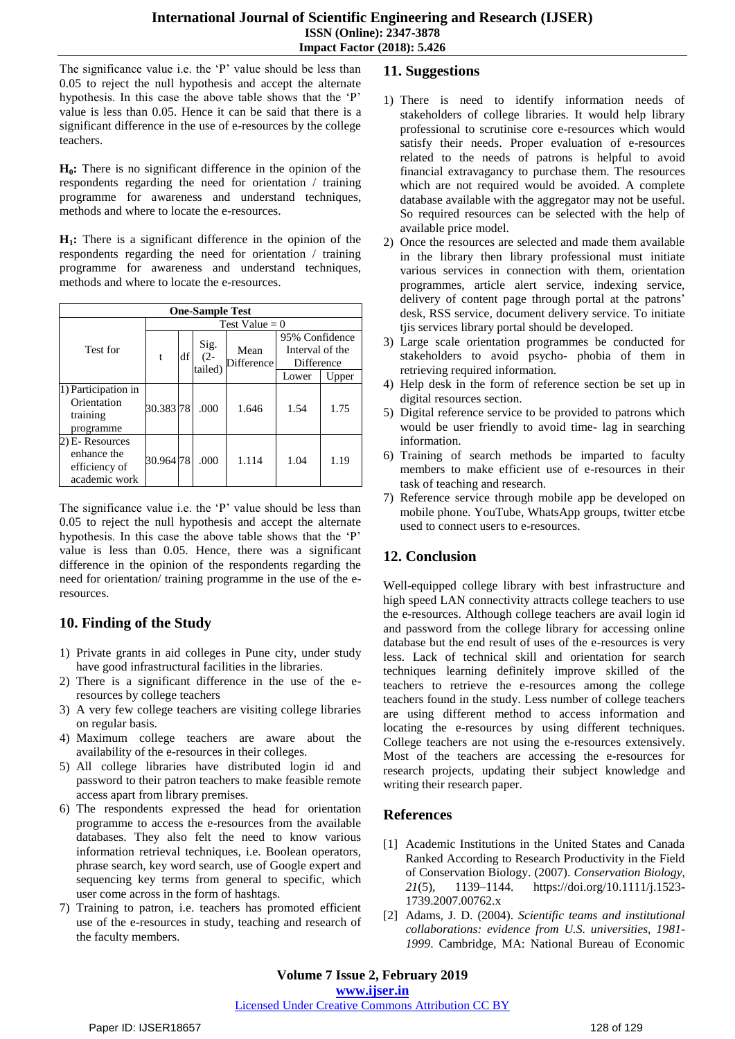The significance value i.e. the 'P' value should be less than 0.05 to reject the null hypothesis and accept the alternate hypothesis. In this case the above table shows that the 'P' value is less than 0.05. Hence it can be said that there is a significant difference in the use of e-resources by the college teachers.

**H0:** There is no significant difference in the opinion of the respondents regarding the need for orientation / training programme for awareness and understand techniques, methods and where to locate the e-resources.

**H1:** There is a significant difference in the opinion of the respondents regarding the need for orientation / training programme for awareness and understand techniques, methods and where to locate the e-resources.

| <b>One-Sample Test</b>                                           |                  |    |                           |                           |                                                 |       |  |
|------------------------------------------------------------------|------------------|----|---------------------------|---------------------------|-------------------------------------------------|-------|--|
|                                                                  | Test Value = $0$ |    |                           |                           |                                                 |       |  |
| Test for                                                         | t                | df | Sig.<br>$(2 -$<br>tailed) | Mean<br><b>Difference</b> | 95% Confidence<br>Interval of the<br>Difference |       |  |
|                                                                  |                  |    |                           |                           | Lower                                           | Upper |  |
| 1) Participation in<br>Orientation<br>training<br>programme      | 30.38378         |    | .000                      | 1.646                     | 1.54                                            | 1.75  |  |
| 2) E- Resources<br>enhance the<br>efficiency of<br>academic work | 30.96478         |    | .000                      | 1.114                     | 1.04                                            | 1.19  |  |

The significance value i.e. the 'P' value should be less than 0.05 to reject the null hypothesis and accept the alternate hypothesis. In this case the above table shows that the 'P' value is less than 0.05. Hence, there was a significant difference in the opinion of the respondents regarding the need for orientation/ training programme in the use of the eresources.

# **10. Finding of the Study**

- 1) Private grants in aid colleges in Pune city, under study have good infrastructural facilities in the libraries.
- 2) There is a significant difference in the use of the eresources by college teachers
- 3) A very few college teachers are visiting college libraries on regular basis.
- 4) Maximum college teachers are aware about the availability of the e-resources in their colleges.
- 5) All college libraries have distributed login id and password to their patron teachers to make feasible remote access apart from library premises.
- 6) The respondents expressed the head for orientation programme to access the e-resources from the available databases. They also felt the need to know various information retrieval techniques, i.e. Boolean operators, phrase search, key word search, use of Google expert and sequencing key terms from general to specific, which user come across in the form of hashtags.
- 7) Training to patron, i.e. teachers has promoted efficient use of the e-resources in study, teaching and research of the faculty members.

# **11. Suggestions**

- 1) There is need to identify information needs of stakeholders of college libraries. It would help library professional to scrutinise core e-resources which would satisfy their needs. Proper evaluation of e-resources related to the needs of patrons is helpful to avoid financial extravagancy to purchase them. The resources which are not required would be avoided. A complete database available with the aggregator may not be useful. So required resources can be selected with the help of available price model.
- 2) Once the resources are selected and made them available in the library then library professional must initiate various services in connection with them, orientation programmes, article alert service, indexing service, delivery of content page through portal at the patrons' desk, RSS service, document delivery service. To initiate tjis services library portal should be developed.
- 3) Large scale orientation programmes be conducted for stakeholders to avoid psycho- phobia of them in retrieving required information.
- 4) Help desk in the form of reference section be set up in digital resources section.
- 5) Digital reference service to be provided to patrons which would be user friendly to avoid time- lag in searching information.
- 6) Training of search methods be imparted to faculty members to make efficient use of e-resources in their task of teaching and research.
- 7) Reference service through mobile app be developed on mobile phone. YouTube, WhatsApp groups, twitter etcbe used to connect users to e-resources.

# **12. Conclusion**

Well-equipped college library with best infrastructure and high speed LAN connectivity attracts college teachers to use the e-resources. Although college teachers are avail login id and password from the college library for accessing online database but the end result of uses of the e-resources is very less. Lack of technical skill and orientation for search techniques learning definitely improve skilled of the teachers to retrieve the e-resources among the college teachers found in the study. Less number of college teachers are using different method to access information and locating the e-resources by using different techniques. College teachers are not using the e-resources extensively. Most of the teachers are accessing the e-resources for research projects, updating their subject knowledge and writing their research paper.

# **References**

- [1] Academic Institutions in the United States and Canada Ranked According to Research Productivity in the Field of Conservation Biology. (2007). *Conservation Biology*, *21*(5), 1139–1144. [https://doi.org/10.1111/j.1523-](https://doi.org/10.1111/j.1523-1739.2007.00762.x) [1739.2007.00762.x](https://doi.org/10.1111/j.1523-1739.2007.00762.x)
- [2] Adams, J. D. (2004). *Scientific teams and institutional collaborations: evidence from U.S. universities, 1981- 1999*. Cambridge, MA: National Bureau of Economic